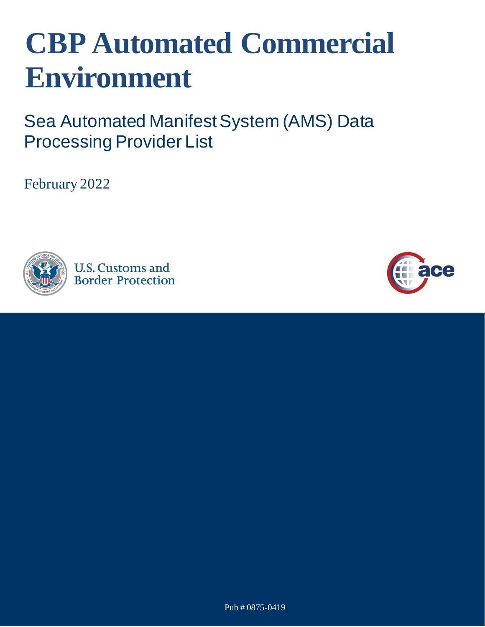## **CBP Automated Commercial Environment**

Sea Automated Manifest System (AMS) Data Processing Provider List

February 2022



**U.S. Customs and Border Protection** 

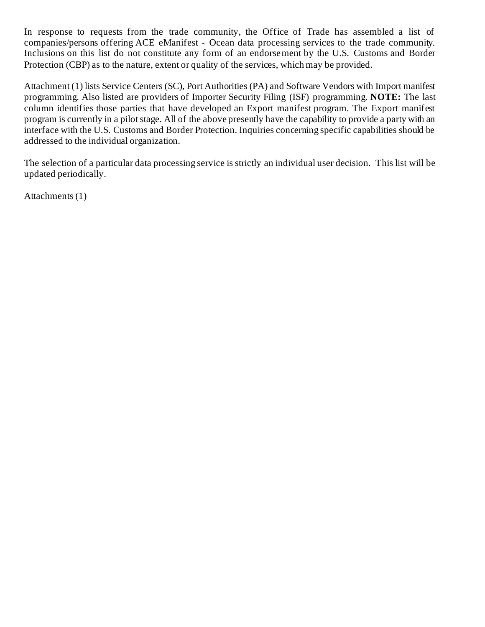In response to requests from the trade community, the Office of Trade has assembled a list of companies/persons offering ACE eManifest - Ocean data processing services to the trade community. Inclusions on this list do not constitute any form of an endorsement by the U.S. Customs and Border Protection (CBP) as to the nature, extent or quality of the services, which may be provided.

Attachment (1) lists Service Centers (SC), Port Authorities (PA) and Software Vendors with Import manifest programming. Also listed are providers of Importer Security Filing (ISF) programming. **NOTE:** The last column identifies those parties that have developed an Export manifest program. The Export manifest program is currently in a pilot stage. All of the above presently have the capability to provide a party with an interface with the U.S. Customs and Border Protection. Inquiries concerning specific capabilities should be addressed to the individual organization.

The selection of a particular data processing service is strictly an individual user decision. This list will be updated periodically.

Attachments (1)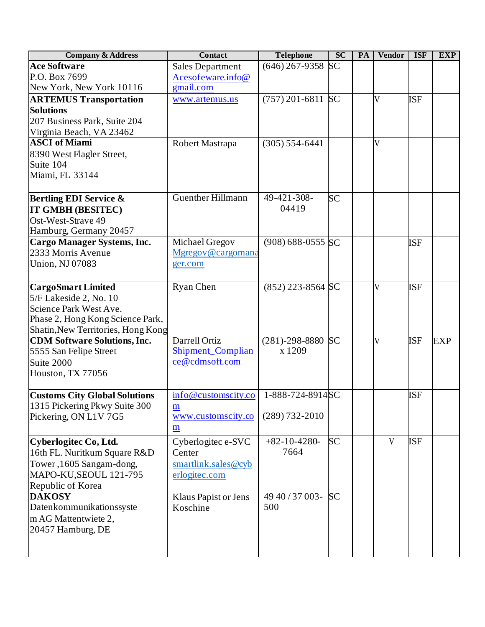| <b>Company &amp; Address</b>         | Contact                  | <b>Telephone</b>      | <b>SC</b> | PA | <b>Vendor</b>  | <b>ISF</b> | <b>EXP</b> |
|--------------------------------------|--------------------------|-----------------------|-----------|----|----------------|------------|------------|
| <b>Ace Software</b>                  | <b>Sales Department</b>  | $(646)$ 267-9358      | <b>SC</b> |    |                |            |            |
| P.O. Box 7699                        | Acesofeware.info@        |                       |           |    |                |            |            |
| New York, New York 10116             | gmail.com                |                       |           |    |                |            |            |
| <b>ARTEMUS Transportation</b>        | www.artemus.us           | $(757)$ 201-6811 SC   |           |    | $\overline{V}$ | <b>ISF</b> |            |
| <b>Solutions</b>                     |                          |                       |           |    |                |            |            |
| 207 Business Park, Suite 204         |                          |                       |           |    |                |            |            |
| Virginia Beach, VA 23462             |                          |                       |           |    |                |            |            |
| <b>ASCI of Miami</b>                 | Robert Mastrapa          | $(305) 554 - 6441$    |           |    | $\overline{V}$ |            |            |
| 8390 West Flagler Street,            |                          |                       |           |    |                |            |            |
| Suite 104                            |                          |                       |           |    |                |            |            |
| Miami, FL 33144                      |                          |                       |           |    |                |            |            |
|                                      |                          |                       |           |    |                |            |            |
| <b>Bertling EDI Service &amp;</b>    | <b>Guenther Hillmann</b> | 49-421-308-           | SC        |    |                |            |            |
| IT GMBH (BESITEC)                    |                          | 04419                 |           |    |                |            |            |
| Ost-West-Strave 49                   |                          |                       |           |    |                |            |            |
| Hamburg, Germany 20457               |                          |                       |           |    |                |            |            |
| <b>Cargo Manager Systems, Inc.</b>   | Michael Gregov           | $(908) 688 - 0555$ SC |           |    |                | <b>ISF</b> |            |
| 2333 Morris Avenue                   | Mgregov@cargomana        |                       |           |    |                |            |            |
| <b>Union, NJ 07083</b>               | ger.com                  |                       |           |    |                |            |            |
|                                      |                          |                       |           |    |                |            |            |
| <b>CargoSmart Limited</b>            | <b>Ryan Chen</b>         | $(852)$ 223-8564 SC   |           |    | $\overline{V}$ | <b>ISF</b> |            |
| 5/F Lakeside 2, No. 10               |                          |                       |           |    |                |            |            |
| Science Park West Ave.               |                          |                       |           |    |                |            |            |
| Phase 2, Hong Kong Science Park,     |                          |                       |           |    |                |            |            |
| Shatin, New Territories, Hong Kong   |                          |                       |           |    |                |            |            |
| <b>CDM Software Solutions, Inc.</b>  | Darrell Ortiz            | $(281)-298-8880$      | <b>SC</b> |    | V              | <b>ISF</b> | <b>EXP</b> |
| 5555 San Felipe Street               | Shipment_Complian        | x 1209                |           |    |                |            |            |
| Suite 2000                           | ce@cdmsoft.com           |                       |           |    |                |            |            |
| Houston, TX 77056                    |                          |                       |           |    |                |            |            |
|                                      |                          |                       |           |    |                |            |            |
| <b>Customs City Global Solutions</b> | info@customscity.co      | 1-888-724-8914 SC     |           |    |                | <b>ISF</b> |            |
| 1315 Pickering Pkwy Suite 300        | m                        |                       |           |    |                |            |            |
| Pickering, ON L1V 7G5                | www.customscity.co       | $(289) 732 - 2010$    |           |    |                |            |            |
|                                      | m                        |                       |           |    |                |            |            |
| Cyberlogitec Co, Ltd.                | Cyberlogitec e-SVC       | $+82-10-4280-$        | <b>SC</b> |    | V              | <b>ISF</b> |            |
| 16th FL. Nuritkum Square R&D         | Center                   | 7664                  |           |    |                |            |            |
| Tower, 1605 Sangam-dong,             | smartlink.sales@cyb      |                       |           |    |                |            |            |
| MAPO-KU, SEOUL 121-795               | erlogitec.com            |                       |           |    |                |            |            |
| Republic of Korea                    |                          |                       |           |    |                |            |            |
| <b>DAKOSY</b>                        | Klaus Papist or Jens     | 49 40 / 37 003-       | <b>SC</b> |    |                |            |            |
| Datenkommunikationssyste             | Koschine                 | 500                   |           |    |                |            |            |
| m AG Mattentwiete 2,                 |                          |                       |           |    |                |            |            |
| 20457 Hamburg, DE                    |                          |                       |           |    |                |            |            |
|                                      |                          |                       |           |    |                |            |            |
|                                      |                          |                       |           |    |                |            |            |
|                                      |                          |                       |           |    |                |            |            |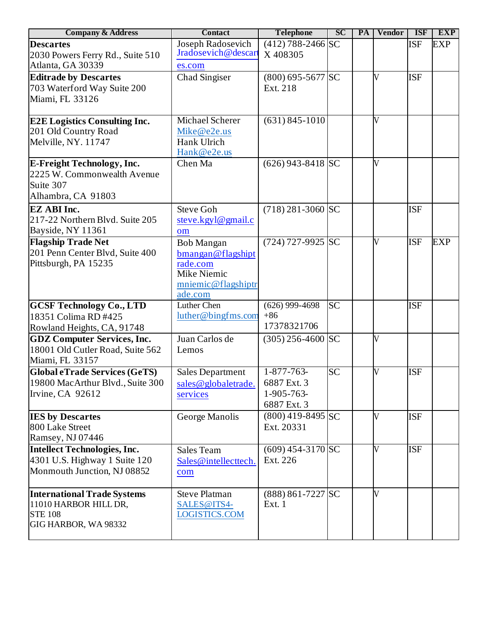| <b>Company &amp; Address</b>                            | <b>Contact</b>          | <b>Telephone</b>      | <b>SC</b> | PA | <b>Vendor</b> | <b>ISF</b> | <b>EXP</b> |
|---------------------------------------------------------|-------------------------|-----------------------|-----------|----|---------------|------------|------------|
| <b>Descartes</b>                                        | Joseph Radosevich       | $(412)$ 788-2466 SC   |           |    |               | <b>ISF</b> | <b>EXP</b> |
| 2030 Powers Ferry Rd., Suite 510                        | Jradosevich@descart     | X408305               |           |    |               |            |            |
| Atlanta, GA 30339                                       | es.com                  |                       |           |    |               |            |            |
| <b>Editrade by Descartes</b>                            | Chad Singiser           | $(800)$ 695-5677 SC   |           |    | V             | <b>ISF</b> |            |
| 703 Waterford Way Suite 200                             |                         | Ext. 218              |           |    |               |            |            |
| Miami, FL 33126                                         |                         |                       |           |    |               |            |            |
|                                                         |                         |                       |           |    |               |            |            |
| <b>E2E Logistics Consulting Inc.</b>                    | Michael Scherer         | $(631) 845 - 1010$    |           |    | V             |            |            |
| 201 Old Country Road                                    | Mike@e2e.us             |                       |           |    |               |            |            |
| Melville, NY. 11747                                     | Hank Ulrich             |                       |           |    |               |            |            |
|                                                         | Hank@e2e.us             |                       |           |    |               |            |            |
| <b>E-Freight Technology, Inc.</b>                       | Chen Ma                 | $(626)$ 943-8418 SC   |           |    | V             |            |            |
| 2225 W. Commonwealth Avenue                             |                         |                       |           |    |               |            |            |
| Suite 307                                               |                         |                       |           |    |               |            |            |
| Alhambra, CA 91803                                      |                         |                       |           |    |               |            |            |
| <b>EZ ABI Inc.</b>                                      | <b>Steve Goh</b>        | $(718)$ 281-3060 SC   |           |    |               | <b>ISF</b> |            |
| 217-22 Northern Blvd. Suite 205                         | steve.kgyl@gmail.c      |                       |           |    |               |            |            |
| Bayside, NY 11361                                       | om                      |                       |           |    |               |            |            |
| <b>Flagship Trade Net</b>                               | Bob Mangan              | $(724)$ 727-9925 SC   |           |    | V             | <b>ISF</b> | <b>EXP</b> |
| 201 Penn Center Blvd, Suite 400<br>Pittsburgh, PA 15235 | bmangan@flagshipt       |                       |           |    |               |            |            |
|                                                         | rade.com<br>Mike Niemic |                       |           |    |               |            |            |
|                                                         | mniemic@flagshiptr      |                       |           |    |               |            |            |
|                                                         | ade.com                 |                       |           |    |               |            |            |
| <b>GCSF Technology Co., LTD</b>                         | Luther Chen             | $(626)$ 999-4698      | <b>SC</b> |    |               | <b>ISF</b> |            |
| 18351 Colima RD #425                                    | luther@bingfms.com      | $+86$                 |           |    |               |            |            |
| Rowland Heights, CA, 91748                              |                         | 17378321706           |           |    |               |            |            |
| <b>GDZ Computer Services, Inc.</b>                      | Juan Carlos de          | $(305)$ 256-4600 SC   |           |    | V             |            |            |
| 18001 Old Cutler Road, Suite 562                        | Lemos                   |                       |           |    |               |            |            |
| Miami, FL 33157                                         |                         |                       |           |    |               |            |            |
| <b>Global eTrade Services (GeTS)</b>                    | <b>Sales Department</b> | $1 - 877 - 763$       | <b>SC</b> |    | V             | <b>ISF</b> |            |
| 19800 MacArthur Blvd., Suite 300                        | sales@globaletrade.     | 6887 Ext. 3           |           |    |               |            |            |
| Irvine, CA 92612                                        | services                | 1-905-763-            |           |    |               |            |            |
|                                                         |                         | 6887 Ext. 3           |           |    |               |            |            |
| <b>IES by Descartes</b>                                 | George Manolis          | $(800)$ 419-8495 SC   |           |    | V             | <b>ISF</b> |            |
| 800 Lake Street                                         |                         | Ext. 20331            |           |    |               |            |            |
| Ramsey, NJ 07446                                        |                         |                       |           |    |               |            |            |
| Intellect Technologies, Inc.                            | Sales Team              | $(609)$ 454-3170 SC   |           |    | V             | <b>ISF</b> |            |
| 4301 U.S. Highway 1 Suite 120                           | Sales@intellecttech.    | Ext. 226              |           |    |               |            |            |
| Monmouth Junction, NJ 08852                             | com                     |                       |           |    |               |            |            |
| <b>International Trade Systems</b>                      | <b>Steve Platman</b>    | $(888) 861 - 7227$ SC |           |    | V             |            |            |
| 11010 HARBOR HILL DR,                                   | SALES@ITS4-             | Ext. 1                |           |    |               |            |            |
| <b>STE 108</b>                                          | LOGISTICS.COM           |                       |           |    |               |            |            |
| GIG HARBOR, WA 98332                                    |                         |                       |           |    |               |            |            |
|                                                         |                         |                       |           |    |               |            |            |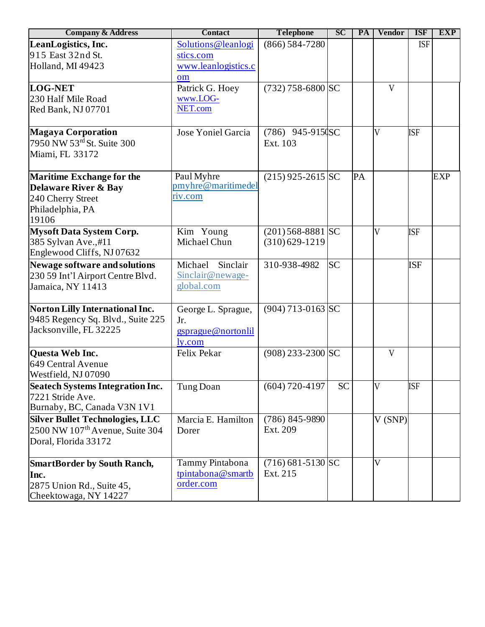| <b>Company &amp; Address</b>                | <b>Contact</b>      | <b>Telephone</b>      | <b>SC</b> | PA | <b>Vendor</b>           | <b>ISF</b> | <b>EXP</b> |
|---------------------------------------------|---------------------|-----------------------|-----------|----|-------------------------|------------|------------|
| LeanLogistics, Inc.                         | Solutions@leanlogi  | $(866) 584 - 7280$    |           |    |                         | <b>ISF</b> |            |
| 915 East 32nd St.                           | stics.com           |                       |           |    |                         |            |            |
| Holland, MI 49423                           | www.leanlogistics.c |                       |           |    |                         |            |            |
|                                             | om                  |                       |           |    |                         |            |            |
| <b>LOG-NET</b>                              | Patrick G. Hoey     | $(732)$ 758-6800 SC   |           |    | V                       |            |            |
| 230 Half Mile Road                          | www.LOG-            |                       |           |    |                         |            |            |
| Red Bank, NJ 07701                          | NET.com             |                       |           |    |                         |            |            |
| Magaya Corporation                          | Jose Yoniel Garcia  | $(786)$ 945-915 $(S)$ |           |    | $\overline{V}$          | <b>ISF</b> |            |
| 7950 NW 53rd St. Suite 300                  |                     | Ext. 103              |           |    |                         |            |            |
| Miami, FL 33172                             |                     |                       |           |    |                         |            |            |
| <b>Maritime Exchange for the</b>            | Paul Myhre          | $(215)$ 925-2615 SC   |           | PA |                         |            | <b>EXP</b> |
| <b>Delaware River &amp; Bay</b>             | pmyhre@maritimedel  |                       |           |    |                         |            |            |
| 240 Cherry Street                           | riv.com             |                       |           |    |                         |            |            |
| Philadelphia, PA                            |                     |                       |           |    |                         |            |            |
| 19106                                       |                     |                       |           |    |                         |            |            |
| <b>Mysoft Data System Corp.</b>             | Kim Young           | $(201)$ 568-8881 SC   |           |    | $\overline{V}$          | <b>ISF</b> |            |
| 385 Sylvan Ave.,#11                         | Michael Chun        | $(310)629-1219$       |           |    |                         |            |            |
| Englewood Cliffs, NJ 07632                  |                     |                       |           |    |                         |            |            |
| Newage software and solutions               | Sinclair<br>Michael | 310-938-4982          | <b>SC</b> |    |                         | <b>ISF</b> |            |
| 230 59 Int'l Airport Centre Blvd.           | Sinclair@newage-    |                       |           |    |                         |            |            |
| Jamaica, NY 11413                           | global.com          |                       |           |    |                         |            |            |
| Norton Lilly International Inc.             | George L. Sprague,  | $(904)$ 713-0163 SC   |           |    |                         |            |            |
| 9485 Regency Sq. Blvd., Suite 225           | Jr.                 |                       |           |    |                         |            |            |
| Jacksonville, FL 32225                      | gsprague@nortonlil  |                       |           |    |                         |            |            |
|                                             | ly.com              |                       |           |    |                         |            |            |
| <b>Questa Web Inc.</b>                      | Felix Pekar         | $(908)$ 233-2300 SC   |           |    | V                       |            |            |
| 649 Central Avenue                          |                     |                       |           |    |                         |            |            |
| Westfield, NJ 07090                         |                     |                       |           |    |                         |            |            |
| <b>Seatech Systems Integration Inc.</b>     | Tung Doan           | $(604)$ 720-4197      | <b>SC</b> |    | V                       | <b>ISF</b> |            |
| 7221 Stride Ave.                            |                     |                       |           |    |                         |            |            |
| Burnaby, BC, Canada V3N 1V1                 |                     |                       |           |    |                         |            |            |
| <b>Silver Bullet Technologies, LLC</b>      | Marcia E. Hamilton  | $(786) 845 - 9890$    |           |    | V(SNP)                  |            |            |
| 2500 NW 107 <sup>th</sup> Avenue, Suite 304 | Dorer               | Ext. 209              |           |    |                         |            |            |
| Doral, Florida 33172                        |                     |                       |           |    |                         |            |            |
| <b>SmartBorder by South Ranch,</b>          | Tammy Pintabona     | $(716)$ 681-5130 SC   |           |    | $\overline{\mathsf{V}}$ |            |            |
| Inc.                                        | tpintabona@smartb   | Ext. 215              |           |    |                         |            |            |
| 2875 Union Rd., Suite 45,                   | order.com           |                       |           |    |                         |            |            |
| Cheektowaga, NY 14227                       |                     |                       |           |    |                         |            |            |